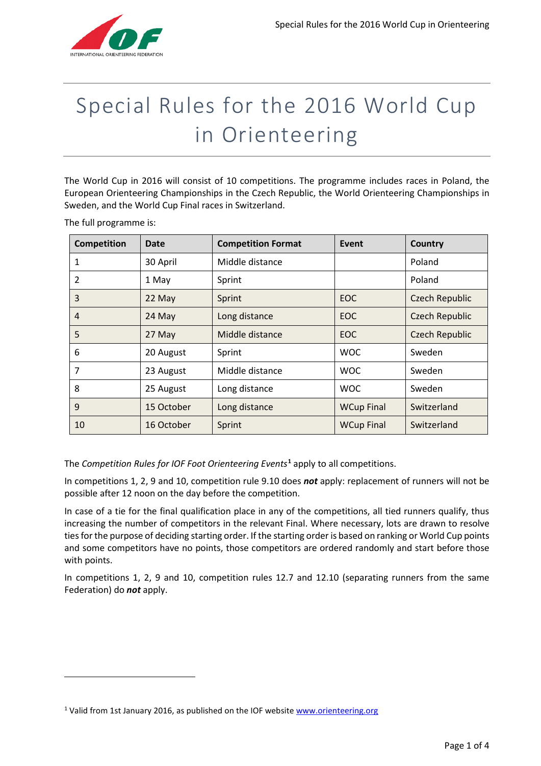

# Special Rules for the 2016 World Cup in Orienteering

The World Cup in 2016 will consist of 10 competitions. The programme includes races in Poland, the European Orienteering Championships in the Czech Republic, the World Orienteering Championships in Sweden, and the World Cup Final races in Switzerland.

The full programme is:

**.** 

| Competition | Date       | <b>Competition Format</b> | Event             | <b>Country</b>        |
|-------------|------------|---------------------------|-------------------|-----------------------|
| 1           | 30 April   | Middle distance           |                   | Poland                |
| 2           | 1 May      | Sprint                    |                   | Poland                |
| 3           | 22 May     | Sprint                    | EOC               | <b>Czech Republic</b> |
| 4           | 24 May     | Long distance             | <b>EOC</b>        | <b>Czech Republic</b> |
| 5           | 27 May     | Middle distance           | <b>EOC</b>        | <b>Czech Republic</b> |
| 6           | 20 August  | Sprint                    | <b>WOC</b>        | Sweden                |
| 7           | 23 August  | Middle distance           | <b>WOC</b>        | Sweden                |
| 8           | 25 August  | Long distance             | <b>WOC</b>        | Sweden                |
| 9           | 15 October | Long distance             | <b>WCup Final</b> | Switzerland           |
| 10          | 16 October | Sprint                    | <b>WCup Final</b> | Switzerland           |

The *Competition Rules for IOF Foot Orienteering Events***[1](#page-0-0)** apply to all competitions.

In competitions 1, 2, 9 and 10, competition rule 9.10 does *not* apply: replacement of runners will not be possible after 12 noon on the day before the competition.

In case of a tie for the final qualification place in any of the competitions, all tied runners qualify, thus increasing the number of competitors in the relevant Final. Where necessary, lots are drawn to resolve ties for the purpose of deciding starting order. If the starting order is based on ranking or World Cup points and some competitors have no points, those competitors are ordered randomly and start before those with points.

In competitions 1, 2, 9 and 10, competition rules 12.7 and 12.10 (separating runners from the same Federation) do *not* apply.

<span id="page-0-0"></span><sup>&</sup>lt;sup>1</sup> Valid from 1st January 2016, as published on the IOF website www.orienteering.org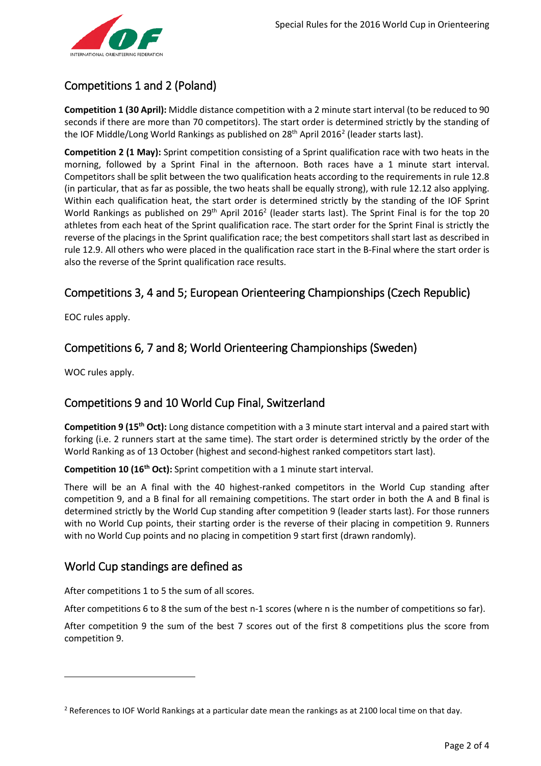

# Competitions 1 and 2 (Poland)

**Competition 1 (30 April):** Middle distance competition with a 2 minute start interval (to be reduced to 90 seconds if there are more than 70 competitors). The start order is determined strictly by the standing of the IOF Middle/Long World Rankings as published on  $28<sup>th</sup>$  $28<sup>th</sup>$  April 2016<sup>2</sup> (leader starts last).

<span id="page-1-0"></span>**Competition 2 (1 May):** Sprint competition consisting of a Sprint qualification race with two heats in the morning, followed by a Sprint Final in the afternoon. Both races have a 1 minute start interval. Competitors shall be split between the two qualification heats according to the requirements in rule 12.8 (in particular, that as far as possible, the two heats shall be equally strong), with rule 12.12 also applying. Within each qualification heat, the start order is determined strictly by the standing of the IOF Sprint World Rankings as published on  $29^{th}$  April 2016<sup>2</sup> (leader starts last). The Sprint Final is for the top 20 athletes from each heat of the Sprint qualification race. The start order for the Sprint Final is strictly the reverse of the placings in the Sprint qualification race; the best competitors shall start last as described in rule 12.9. All others who were placed in the qualification race start in the B-Final where the start order is also the reverse of the Sprint qualification race results.

# Competitions 3, 4 and 5; European Orienteering Championships (Czech Republic)

EOC rules apply.

# Competitions 6, 7 and 8; World Orienteering Championships (Sweden)

WOC rules apply.

**.** 

## Competitions 9 and 10 World Cup Final, Switzerland

**Competition 9 (15th Oct):** Long distance competition with a 3 minute start interval and a paired start with forking (i.e. 2 runners start at the same time). The start order is determined strictly by the order of the World Ranking as of 13 October (highest and second-highest ranked competitors start last).

**Competition 10 (16th Oct):** Sprint competition with a 1 minute start interval.

There will be an A final with the 40 highest-ranked competitors in the World Cup standing after competition 9, and a B final for all remaining competitions. The start order in both the A and B final is determined strictly by the World Cup standing after competition 9 (leader starts last). For those runners with no World Cup points, their starting order is the reverse of their placing in competition 9. Runners with no World Cup points and no placing in competition 9 start first (drawn randomly).

## World Cup standings are defined as

After competitions 1 to 5 the sum of all scores.

After competitions 6 to 8 the sum of the best n-1 scores (where n is the number of competitions so far).

After competition 9 the sum of the best 7 scores out of the first 8 competitions plus the score from competition 9.

<span id="page-1-1"></span><sup>&</sup>lt;sup>2</sup> References to IOF World Rankings at a particular date mean the rankings as at 2100 local time on that day.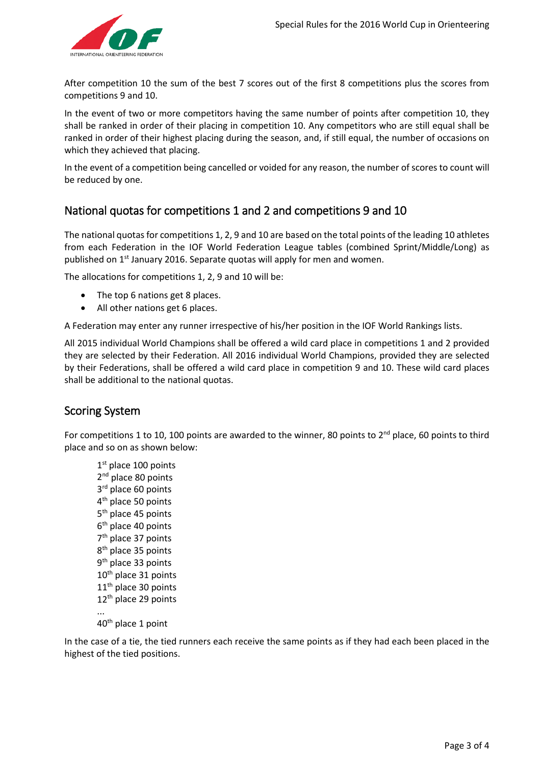

After competition 10 the sum of the best 7 scores out of the first 8 competitions plus the scores from competitions 9 and 10.

In the event of two or more competitors having the same number of points after competition 10, they shall be ranked in order of their placing in competition 10. Any competitors who are still equal shall be ranked in order of their highest placing during the season, and, if still equal, the number of occasions on which they achieved that placing.

In the event of a competition being cancelled or voided for any reason, the number of scores to count will be reduced by one.

## National quotas for competitions 1 and 2 and competitions 9 and 10

The national quotas for competitions 1, 2, 9 and 10 are based on the total points of the leading 10 athletes from each Federation in the IOF World Federation League tables (combined Sprint/Middle/Long) as published on 1<sup>st</sup> January 2016. Separate quotas will apply for men and women.

The allocations for competitions 1, 2, 9 and 10 will be:

- The top 6 nations get 8 places.
- All other nations get 6 places.

A Federation may enter any runner irrespective of his/her position in the IOF World Rankings lists.

All 2015 individual World Champions shall be offered a wild card place in competitions 1 and 2 provided they are selected by their Federation. All 2016 individual World Champions, provided they are selected by their Federations, shall be offered a wild card place in competition 9 and 10. These wild card places shall be additional to the national quotas.

## Scoring System

For competitions 1 to 10, 100 points are awarded to the winner, 80 points to 2<sup>nd</sup> place, 60 points to third place and so on as shown below:

1st place 100 points 2<sup>nd</sup> place 80 points 3rd place 60 points 4<sup>th</sup> place 50 points 5<sup>th</sup> place 45 points 6<sup>th</sup> place 40 points 7<sup>th</sup> place 37 points 8<sup>th</sup> place 35 points 9<sup>th</sup> place 33 points 10<sup>th</sup> place 31 points 11<sup>th</sup> place 30 points 12<sup>th</sup> place 29 points ... 40th place 1 point

In the case of a tie, the tied runners each receive the same points as if they had each been placed in the highest of the tied positions.